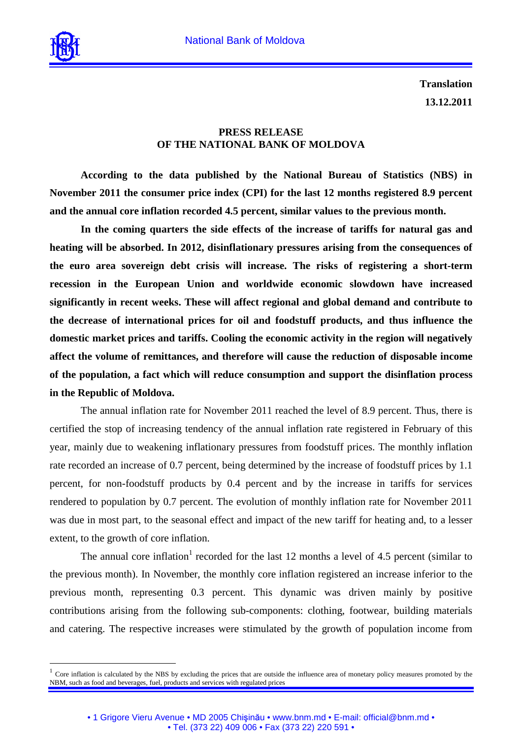

 $\overline{a}$ 

**Translation 13.12.2011**

## **PRESS RELEASE OF THE NATIONAL BANK OF MOLDOVA**

**According to the data published by the National Bureau of Statistics (NBS) in November 2011 the consumer price index (CPI) for the last 12 months registered 8.9 percent and the annual core inflation recorded 4.5 percent, similar values to the previous month.** 

**In the coming quarters the side effects of the increase of tariffs for natural gas and heating will be absorbed. In 2012, disinflationary pressures arising from the consequences of the euro area sovereign debt crisis will increase. The risks of registering a short-term recession in the European Union and worldwide economic slowdown have increased significantly in recent weeks. These will affect regional and global demand and contribute to the decrease of international prices for oil and foodstuff products, and thus influence the domestic market prices and tariffs. Cooling the economic activity in the region will negatively affect the volume of remittances, and therefore will cause the reduction of disposable income of the population, a fact which will reduce consumption and support the disinflation process in the Republic of Moldova.** 

The annual inflation rate for November 2011 reached the level of 8.9 percent. Thus, there is certified the stop of increasing tendency of the annual inflation rate registered in February of this year, mainly due to weakening inflationary pressures from foodstuff prices. The monthly inflation rate recorded an increase of 0.7 percent, being determined by the increase of foodstuff prices by 1.1 percent, for non-foodstuff products by 0.4 percent and by the increase in tariffs for services rendered to population by 0.7 percent. The evolution of monthly inflation rate for November 2011 was due in most part, to the seasonal effect and impact of the new tariff for heating and, to a lesser extent, to the growth of core inflation.

The annual core inflation<sup>1</sup> recorded for the last 12 months a level of 4.5 percent (similar to the previous month). In November, the monthly core inflation registered an increase inferior to the previous month, representing 0.3 percent. This dynamic was driven mainly by positive contributions arising from the following sub-components: clothing, footwear, building materials and catering. The respective increases were stimulated by the growth of population income from

<sup>1</sup> Core inflation is calculated by the NBS by excluding the prices that are outside the influence area of monetary policy measures promoted by the NBM, such as food and beverages, fuel, products and services with regulated prices